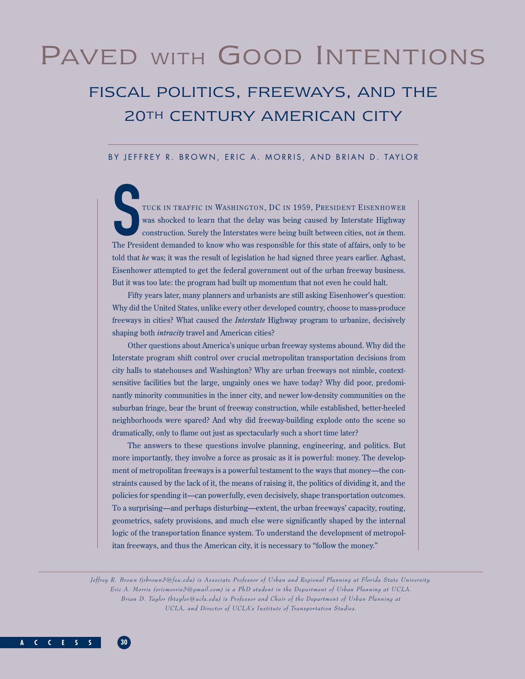# PAVED WITH GOOD INTENTIONS

# FISCAL POLITICS, FREEWAYS, AND THE 20TH CENTURY AMERICAN CITY

# BY JEFFREY R. BROWN, ERIC A. MORRIS, AND BRIAN D. TAYLOR

TUCK IN TRAFFIC IN WASHINGTON, DC IN 1959, PRESIDENT EISENHOWER was shocked to learn that the delay was being caused by Interstate Highway construction. Surely the Interstates were being built between cities, not *in* them. The President demanded to know who was responsible for this state of affairs, only to be told that *he* was; it was the result of legislation he had signed three years earlier. Aghast, Eisenhower attempted to get the federal government out of the urban freeway business. But it was too late: the program had built up momentum that not even he could halt.

Fifty years later, many planners and urbanists are still asking Eisenhower's question: Why did the United States, unlike every other developed country, choose to mass-produce freeways in cities? What caused the *Interstate* Highway program to urbanize, decisively shaping both *intracity* travel and American cities?

Other questions about America's unique urban freeway systems abound. Why did the Interstate program shift control over crucial metropolitan transportation decisions from city halls to statehouses and Washington? Why are urban freeways not nimble, contextsensitive facilities but the large, ungainly ones we have today? Why did poor, predominantly minority communities in the inner city, and newer low-density communities on the suburban fringe, bear the brunt of freeway construction, while established, better-heeled neighborhoods were spared? And why did freeway-building explode onto the scene so dramatically, only to flame out just as spectacularly such a short time later?

The answers to these questions involve planning, engineering, and politics. But more importantly, they involve a force as prosaic as it is powerful: money. The development of metropolitan freeways is a powerful testament to the ways that money—the constraints caused by the lack of it, the means of raising it, the politics of dividing it, and the policies for spending it—can powerfully, even decisively, shape transportation outcomes. To a surprising—and perhaps disturbing—extent, the urban freeways' capacity, routing, geometrics, safety provisions, and much else were significantly shaped by the internal logic of the transportation finance system. To understand the development of metropolitan freeways, and thus the American city, it is necessary to "follow the money."

Jeffrey R. Brown (jrbrown3@fsu.edu) is Associate Professor of Urban and Regional Planning at Florida State University. *Eric A. Morris (ericmorris3@gmail.com) is a PhD student in the Department of Urban Planning at UCLA. Brian D. Taylor (btaylor@ucla.edu) is Professor and Chair of the Department of Urban Planning at UCLA, and Director of UCLA's Institute of Transportation Studies.*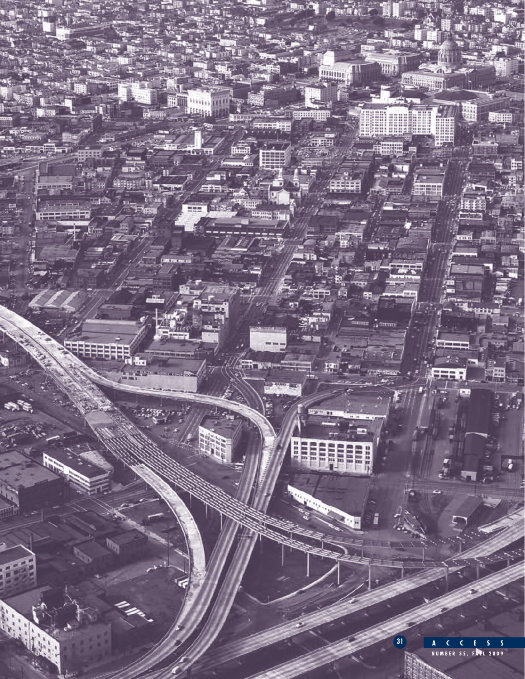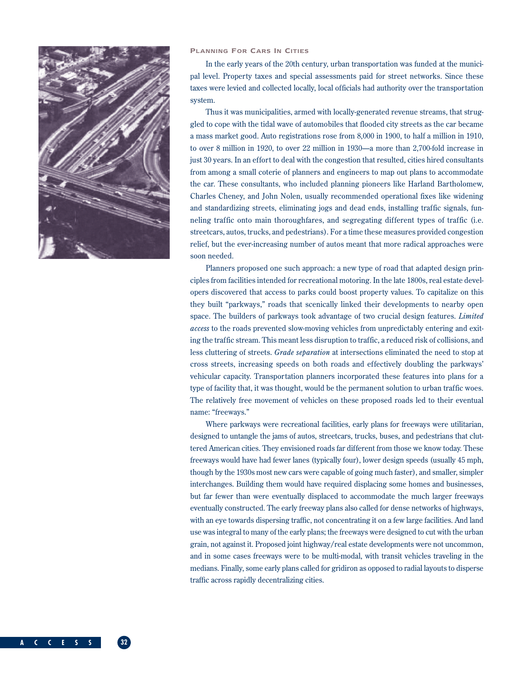

#### **PLANNING FOR CARS IN CITIES**

In the early years of the 20th century, urban transportation was funded at the municipal level. Property taxes and special assessments paid for street networks. Since these taxes were levied and collected locally, local officials had authority over the transportation system.

Thus it was municipalities, armed with locally-generated revenue streams, that struggled to cope with the tidal wave of automobiles that flooded city streets as the car became a mass market good. Auto registrations rose from 8,000 in 1900, to half a million in 1910, to over 8 million in 1920, to over 22 million in 1930—a more than 2,700-fold increase in just 30 years. In an effort to deal with the congestion that resulted, cities hired consultants from among a small coterie of planners and engineers to map out plans to accommodate the car. These consultants, who included planning pioneers like Harland Bartholomew, Charles Cheney, and John Nolen, usually recommended operational fixes like widening and standardizing streets, eliminating jogs and dead ends, installing traffic signals, funneling traffic onto main thoroughfares, and segregating different types of traffic (i.e. streetcars, autos, trucks, and pedestrians). For a time these measures provided congestion relief, but the ever-increasing number of autos meant that more radical approaches were soon needed.

Planners proposed one such approach: a new type of road that adapted design principles from facilities intended for recreational motoring. In the late 1800s, real estate developers discovered that access to parks could boost property values. To capitalize on this they built "parkways," roads that scenically linked their developments to nearby open space. The builders of parkways took advantage of two crucial design features. *Limited access* to the roads prevented slow-moving vehicles from unpredictably entering and exiting the traffic stream. This meant less disruption to traffic, a reduced risk of collisions, and less cluttering of streets. *Grade separation* at intersections eliminated the need to stop at cross streets, increasing speeds on both roads and effectively doubling the parkways' vehicular capacity. Transportation planners incorporated these features into plans for a type of facility that, it was thought, would be the permanent solution to urban traffic woes. The relatively free movement of vehicles on these proposed roads led to their eventual name: "freeways."

Where parkways were recreational facilities, early plans for freeways were utilitarian, designed to untangle the jams of autos, streetcars, trucks, buses, and pedestrians that cluttered American cities. They envisioned roads far different from those we know today. These freeways would have had fewer lanes (typically four), lower design speeds (usually 45 mph, though by the 1930s most new cars were capable of going much faster), and smaller, simpler interchanges. Building them would have required displacing some homes and businesses, but far fewer than were eventually displaced to accommodate the much larger freeways eventually constructed. The early freeway plans also called for dense networks of highways, with an eye towards dispersing traffic, not concentrating it on a few large facilities. And land use was integral to many of the early plans; the freeways were designed to cut with the urban grain, not against it. Proposed joint highway/real estate developments were not uncommon, and in some cases freeways were to be multi-modal, with transit vehicles traveling in the medians. Finally, some early plans called for gridiron as opposed to radial layouts to disperse traffic across rapidly decentralizing cities.

**A C C E S S 32**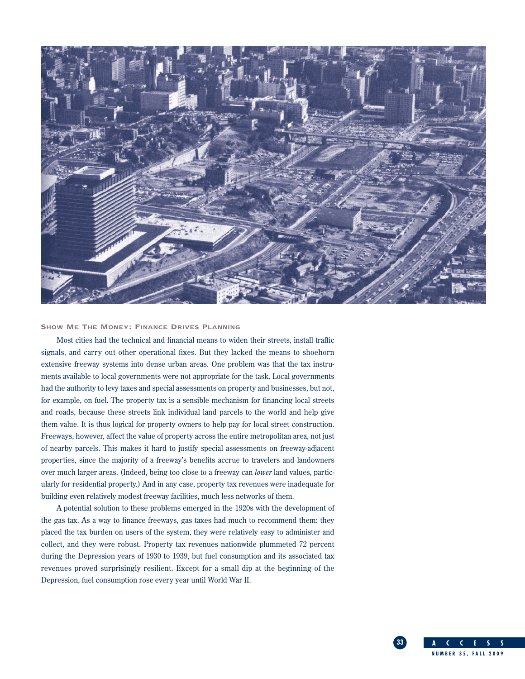

# **SHOW ME THE MONEY: FINANCE DRIVES PLANNING**

Most cities had the technical and financial means to widen their streets, install traffic signals, and carry out other operational fixes. But they lacked the means to shoehorn extensive freeway systems into dense urban areas. One problem was that the tax instruments available to local governments were not appropriate for the task. Local governments had the authority to levy taxes and special assessments on property and businesses, but not, for example, on fuel. The property tax is a sensible mechanism for financing local streets and roads, because these streets link individual land parcels to the world and help give them value. It is thus logical for property owners to help pay for local street construction. Freeways, however, affect the value of property across the entire metropolitan area, not just of nearby parcels. This makes it hard to justify special assessments on freeway-adjacent properties, since the majority of a freeway's benefits accrue to travelers and landowners over much larger areas. (Indeed, being too close to a freeway can *lower* land values, particularly for residential property.) And in any case, property tax revenues were inadequate for building even relatively modest freeway facilities, much less networks of them.

A potential solution to these problems emerged in the 1920s with the development of the gas tax. As a way to finance freeways, gas taxes had much to recommend them: they placed the tax burden on users of the system, they were relatively easy to administer and collect, and they were robust. Property tax revenues nationwide plummeted 72 percent during the Depression years of 1930 to 1939, but fuel consumption and its associated tax revenues proved surprisingly resilient. Except for a small dip at the beginning of the Depression, fuel consumption rose every year until World War II.

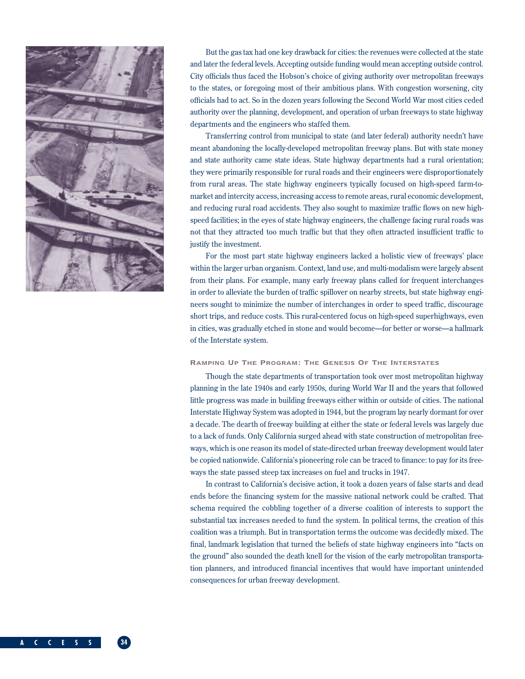

But the gas tax had one key drawback for cities: the revenues were collected at the state and later the federal levels. Accepting outside funding would mean accepting outside control. City officials thus faced the Hobson's choice of giving authority over metropolitan freeways to the states, or foregoing most of their ambitious plans. With congestion worsening, city officials had to act. So in the dozen years following the Second World War most cities ceded authority over the planning, development, and operation of urban freeways to state highway departments and the engineers who staffed them.

Transferring control from municipal to state (and later federal) authority needn't have meant abandoning the locally-developed metropolitan freeway plans. But with state money and state authority came state ideas. State highway departments had a rural orientation; they were primarily responsible for rural roads and their engineers were disproportionately from rural areas. The state highway engineers typically focused on high-speed farm-tomarket and intercity access, increasing access to remote areas, rural economic development, and reducing rural road accidents. They also sought to maximize traffic flows on new highspeed facilities; in the eyes of state highway engineers, the challenge facing rural roads was not that they attracted too much traffic but that they often attracted insufficient traffic to justify the investment.

For the most part state highway engineers lacked a holistic view of freeways' place within the larger urban organism. Context, land use, and multi-modalism were largely absent from their plans. For example, many early freeway plans called for frequent interchanges in order to alleviate the burden of traffic spillover on nearby streets, but state highway engineers sought to minimize the number of interchanges in order to speed traffic, discourage short trips, and reduce costs. This rural-centered focus on high-speed superhighways, even in cities, was gradually etched in stone and would become—for better or worse—a hallmark of the Interstate system.

### **RAMPING UP THE PROGRAM: THE GENESIS OF THE INTERSTATES**

Though the state departments of transportation took over most metropolitan highway planning in the late 1940s and early 1950s, during World War II and the years that followed little progress was made in building freeways either within or outside of cities. The national Interstate Highway System was adopted in 1944, but the program lay nearly dormant for over a decade. The dearth of freeway building at either the state or federal levels was largely due to a lack of funds. Only California surged ahead with state construction of metropolitan freeways, which is one reason its model of state-directed urban freeway development would later be copied nationwide. California's pioneering role can be traced to finance: to pay for its freeways the state passed steep tax increases on fuel and trucks in 1947.

In contrast to California's decisive action, it took a dozen years of false starts and dead ends before the financing system for the massive national network could be crafted. That schema required the cobbling together of a diverse coalition of interests to support the substantial tax increases needed to fund the system. In political terms, the creation of this coalition was a triumph. But in transportation terms the outcome was decidedly mixed. The final, landmark legislation that turned the beliefs of state highway engineers into "facts on the ground" also sounded the death knell for the vision of the early metropolitan transportation planners, and introduced financial incentives that would have important unintended consequences for urban freeway development.

**A C C E S S 34**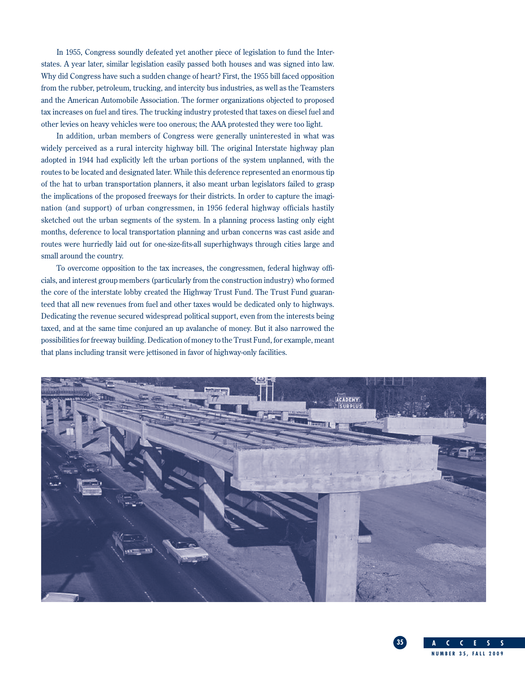In 1955, Congress soundly defeated yet another piece of legislation to fund the Interstates. A year later, similar legislation easily passed both houses and was signed into law. Why did Congress have such a sudden change of heart? First, the 1955 bill faced opposition from the rubber, petroleum, trucking, and intercity bus industries, as well as the Teamsters and the American Automobile Association. The former organizations objected to proposed tax increases on fuel and tires. The trucking industry protested that taxes on diesel fuel and other levies on heavy vehicles were too onerous; the AAA protested they were too light.

In addition, urban members of Congress were generally uninterested in what was widely perceived as a rural intercity highway bill. The original Interstate highway plan adopted in 1944 had explicitly left the urban portions of the system unplanned, with the routes to be located and designated later. While this deference represented an enormous tip of the hat to urban transportation planners, it also meant urban legislators failed to grasp the implications of the proposed freeways for their districts. In order to capture the imagination (and support) of urban congressmen, in 1956 federal highway officials hastily sketched out the urban segments of the system. In a planning process lasting only eight months, deference to local transportation planning and urban concerns was cast aside and routes were hurriedly laid out for one-size-fits-all superhighways through cities large and small around the country.

To overcome opposition to the tax increases, the congressmen, federal highway officials, and interest group members (particularly from the construction industry) who formed the core of the interstate lobby created the Highway Trust Fund. The Trust Fund guaranteed that all new revenues from fuel and other taxes would be dedicated only to highways. Dedicating the revenue secured widespread political support, even from the interests being taxed, and at the same time conjured an up avalanche of money. But it also narrowed the possibilities for freeway building. Dedication of money to the Trust Fund, for example, meant that plans including transit were jettisoned in favor of highway-only facilities.



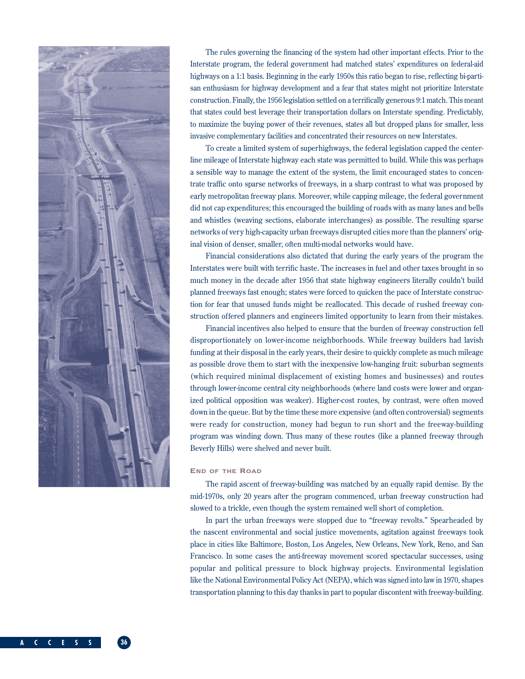

The rules governing the financing of the system had other important effects. Prior to the Interstate program, the federal government had matched states' expenditures on federal-aid highways on a 1:1 basis. Beginning in the early 1950s this ratio began to rise, reflecting bi-partisan enthusiasm for highway development and a fear that states might not prioritize Interstate construction. Finally, the 1956 legislation settled on a terrifically generous 9:1 match. This meant that states could best leverage their transportation dollars on Interstate spending. Predictably, to maximize the buying power of their revenues, states all but dropped plans for smaller, less invasive complementary facilities and concentrated their resources on new Interstates.

To create a limited system of superhighways, the federal legislation capped the centerline mileage of Interstate highway each state was permitted to build. While this was perhaps a sensible way to manage the extent of the system, the limit encouraged states to concentrate traffic onto sparse networks of freeways, in a sharp contrast to what was proposed by early metropolitan freeway plans. Moreover, while capping mileage, the federal government did not cap expenditures; this encouraged the building of roads with as many lanes and bells and whistles (weaving sections, elaborate interchanges) as possible. The resulting sparse networks of very high-capacity urban freeways disrupted cities more than the planners' original vision of denser, smaller, often multi-modal networks would have.

Financial considerations also dictated that during the early years of the program the Interstates were built with terrific haste. The increases in fuel and other taxes brought in so much money in the decade after 1956 that state highway engineers literally couldn't build planned freeways fast enough; states were forced to quicken the pace of Interstate construction for fear that unused funds might be reallocated. This decade of rushed freeway construction offered planners and engineers limited opportunity to learn from their mistakes.

Financial incentives also helped to ensure that the burden of freeway construction fell disproportionately on lower-income neighborhoods. While freeway builders had lavish funding at their disposal in the early years, their desire to quickly complete as much mileage as possible drove them to start with the inexpensive low-hanging fruit: suburban segments (which required minimal displacement of existing homes and businesses) and routes through lower-income central city neighborhoods (where land costs were lower and organized political opposition was weaker). Higher-cost routes, by contrast, were often moved down in the queue. But by the time these more expensive (and often controversial) segments were ready for construction, money had begun to run short and the freeway-building program was winding down. Thus many of these routes (like a planned freeway through Beverly Hills) were shelved and never built.

#### **END OF THE ROAD**

The rapid ascent of freeway-building was matched by an equally rapid demise. By the mid-1970s, only 20 years after the program commenced, urban freeway construction had slowed to a trickle, even though the system remained well short of completion.

In part the urban freeways were stopped due to "freeway revolts." Spearheaded by the nascent environmental and social justice movements, agitation against freeways took place in cities like Baltimore, Boston, Los Angeles, New Orleans, New York, Reno, and San Francisco. In some cases the anti-freeway movement scored spectacular successes, using popular and political pressure to block highway projects. Environmental legislation like the National Environmental Policy Act(NEPA), which was signed into law in 1970, shapes transportation planning to this day thanks in part to popular discontent with freeway-building.